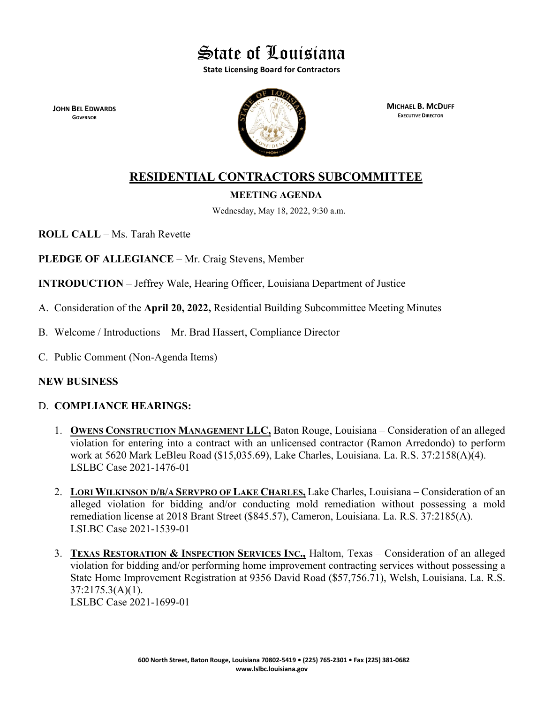

**State Licensing Board for Contractors**

**JOHN BEL EDWARDS GOVERNOR**



**MICHAEL B. MCDUFF EXECUTIVE DIRECTOR**

# **RESIDENTIAL CONTRACTORS SUBCOMMITTEE**

# **MEETING AGENDA**

Wednesday, May 18, 2022, 9:30 a.m.

**ROLL CALL** – Ms. Tarah Revette

**PLEDGE OF ALLEGIANCE** – Mr. Craig Stevens, Member

**INTRODUCTION** – Jeffrey Wale, Hearing Officer, Louisiana Department of Justice

- A. Consideration of the **April 20, 2022,** Residential Building Subcommittee Meeting Minutes
- B. Welcome / Introductions Mr. Brad Hassert, Compliance Director
- C. Public Comment (Non-Agenda Items)

# **NEW BUSINESS**

# D. **COMPLIANCE HEARINGS:**

- 1. **OWENS CONSTRUCTION MANAGEMENT LLC,** Baton Rouge, Louisiana Consideration of an alleged violation for entering into a contract with an unlicensed contractor (Ramon Arredondo) to perform work at 5620 Mark LeBleu Road (\$15,035.69), Lake Charles, Louisiana. La. R.S. 37:2158(A)(4). LSLBC Case 2021-1476-01
- 2. **LORI WILKINSON D/B/A SERVPRO OF LAKE CHARLES,** Lake Charles, Louisiana Consideration of an alleged violation for bidding and/or conducting mold remediation without possessing a mold remediation license at 2018 Brant Street (\$845.57), Cameron, Louisiana. La. R.S. 37:2185(A). LSLBC Case 2021-1539-01
- 3. **TEXAS RESTORATION & INSPECTION SERVICES INC.,** Haltom, Texas Consideration of an alleged violation for bidding and/or performing home improvement contracting services without possessing a State Home Improvement Registration at 9356 David Road (\$57,756.71), Welsh, Louisiana. La. R.S. 37:2175.3(A)(1).

LSLBC Case 2021-1699-01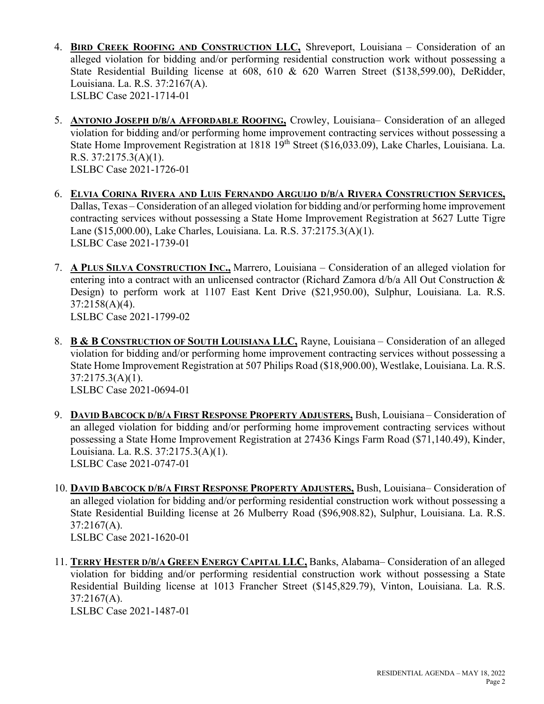- 4. **BIRD CREEK ROOFING AND CONSTRUCTION LLC,** Shreveport, Louisiana Consideration of an alleged violation for bidding and/or performing residential construction work without possessing a State Residential Building license at 608, 610 & 620 Warren Street (\$138,599.00), DeRidder, Louisiana. La. R.S. 37:2167(A). LSLBC Case 2021-1714-01
- 5. **ANTONIO JOSEPH D/B/A AFFORDABLE ROOFING,** Crowley, Louisiana– Consideration of an alleged violation for bidding and/or performing home improvement contracting services without possessing a State Home Improvement Registration at 1818 19<sup>th</sup> Street (\$16,033.09), Lake Charles, Louisiana. La. R.S. 37:2175.3(A)(1). LSLBC Case 2021-1726-01
- 6. **ELVIA CORINA RIVERA AND LUIS FERNANDO ARGUIJO D/B/A RIVERA CONSTRUCTION SERVICES,** Dallas, Texas – Consideration of an alleged violation for bidding and/or performing home improvement contracting services without possessing a State Home Improvement Registration at 5627 Lutte Tigre Lane (\$15,000.00), Lake Charles, Louisiana. La. R.S. 37:2175.3(A)(1). LSLBC Case 2021-1739-01
- 7. **A PLUS SILVA CONSTRUCTION INC.,** Marrero, Louisiana Consideration of an alleged violation for entering into a contract with an unlicensed contractor (Richard Zamora d/b/a All Out Construction & Design) to perform work at 1107 East Kent Drive (\$21,950.00), Sulphur, Louisiana. La. R.S. 37:2158(A)(4). LSLBC Case 2021-1799-02
- 8. **B & B CONSTRUCTION OF SOUTH LOUISIANA LLC,** Rayne, Louisiana Consideration of an alleged violation for bidding and/or performing home improvement contracting services without possessing a State Home Improvement Registration at 507 Philips Road (\$18,900.00), Westlake, Louisiana. La. R.S. 37:2175.3(A)(1). LSLBC Case 2021-0694-01
- 9. **DAVID BABCOCK D/B/A FIRST RESPONSE PROPERTY ADJUSTERS,** Bush, Louisiana Consideration of an alleged violation for bidding and/or performing home improvement contracting services without possessing a State Home Improvement Registration at 27436 Kings Farm Road (\$71,140.49), Kinder, Louisiana. La. R.S. 37:2175.3(A)(1). LSLBC Case 2021-0747-01
- 10. **DAVID BABCOCK D/B/A FIRST RESPONSE PROPERTY ADJUSTERS,** Bush, Louisiana– Consideration of an alleged violation for bidding and/or performing residential construction work without possessing a State Residential Building license at 26 Mulberry Road (\$96,908.82), Sulphur, Louisiana. La. R.S. 37:2167(A). LSLBC Case 2021-1620-01
- 11. **TERRY HESTER D/B/A GREEN ENERGY CAPITAL LLC,** Banks, Alabama– Consideration of an alleged violation for bidding and/or performing residential construction work without possessing a State Residential Building license at 1013 Francher Street (\$145,829.79), Vinton, Louisiana. La. R.S. 37:2167(A).

LSLBC Case 2021-1487-01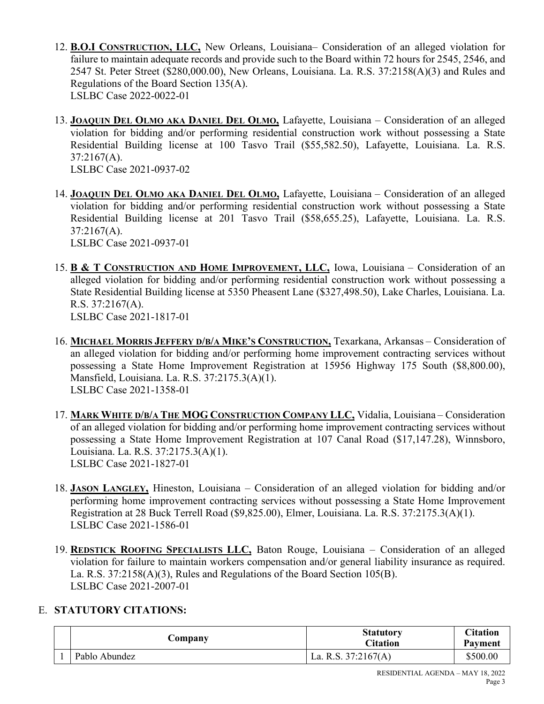- 12. **B.O.I CONSTRUCTION, LLC,** New Orleans, Louisiana– Consideration of an alleged violation for failure to maintain adequate records and provide such to the Board within 72 hours for 2545, 2546, and 2547 St. Peter Street (\$280,000.00), New Orleans, Louisiana. La. R.S. 37:2158(A)(3) and Rules and Regulations of the Board Section 135(A). LSLBC Case 2022-0022-01
- 13. **JOAQUIN DEL OLMO AKA DANIEL DEL OLMO,** Lafayette, Louisiana Consideration of an alleged violation for bidding and/or performing residential construction work without possessing a State Residential Building license at 100 Tasvo Trail (\$55,582.50), Lafayette, Louisiana. La. R.S.  $37:2167(A)$ . LSLBC Case 2021-0937-02
- 14. **JOAQUIN DEL OLMO AKA DANIEL DEL OLMO,** Lafayette, Louisiana Consideration of an alleged violation for bidding and/or performing residential construction work without possessing a State Residential Building license at 201 Tasvo Trail (\$58,655.25), Lafayette, Louisiana. La. R.S. 37:2167(A).

LSLBC Case 2021-0937-01

- 15. **B & T CONSTRUCTION AND HOME IMPROVEMENT, LLC,** Iowa, Louisiana Consideration of an alleged violation for bidding and/or performing residential construction work without possessing a State Residential Building license at 5350 Pheasent Lane (\$327,498.50), Lake Charles, Louisiana. La. R.S. 37:2167(A). LSLBC Case 2021-1817-01
- 16. **MICHAEL MORRIS JEFFERY D/B/A MIKE'S CONSTRUCTION,** Texarkana, Arkansas Consideration of an alleged violation for bidding and/or performing home improvement contracting services without possessing a State Home Improvement Registration at 15956 Highway 175 South (\$8,800.00), Mansfield, Louisiana. La. R.S. 37:2175.3(A)(1). LSLBC Case 2021-1358-01
- 17. **MARK WHITE D/B/A THE MOG CONSTRUCTION COMPANY LLC,** Vidalia, Louisiana Consideration of an alleged violation for bidding and/or performing home improvement contracting services without possessing a State Home Improvement Registration at 107 Canal Road (\$17,147.28), Winnsboro, Louisiana. La. R.S. 37:2175.3(A)(1). LSLBC Case 2021-1827-01
- 18. **JASON LANGLEY,** Hineston, Louisiana Consideration of an alleged violation for bidding and/or performing home improvement contracting services without possessing a State Home Improvement Registration at 28 Buck Terrell Road (\$9,825.00), Elmer, Louisiana. La. R.S. 37:2175.3(A)(1). LSLBC Case 2021-1586-01
- 19. **REDSTICK ROOFING SPECIALISTS LLC,** Baton Rouge, Louisiana Consideration of an alleged violation for failure to maintain workers compensation and/or general liability insurance as required. La. R.S. 37:2158(A)(3), Rules and Regulations of the Board Section 105(B). LSLBC Case 2021-2007-01

# E. **STATUTORY CITATIONS:**

|  | Company       | <b>Statutory</b><br>Citation | Citation<br>Payment |
|--|---------------|------------------------------|---------------------|
|  | Pablo Abundez | La. R.S. $37:2167(A)$        | \$500.00            |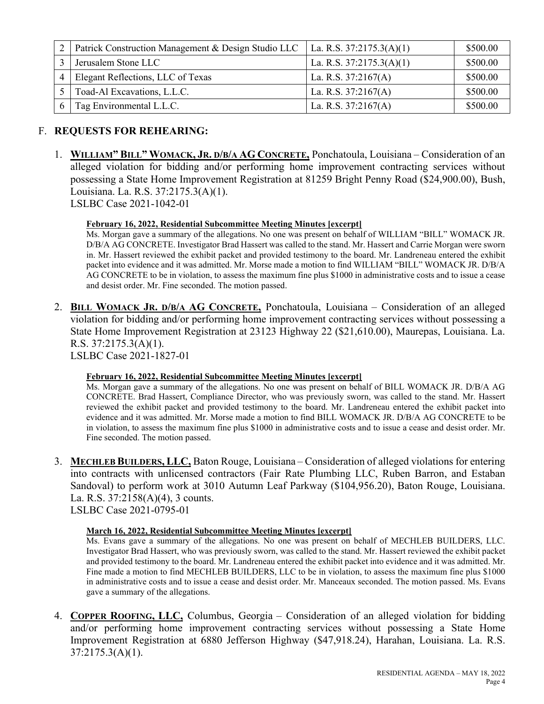| Patrick Construction Management & Design Studio LLC   La. R.S. 37:2175.3(A)(1) |                            | \$500.00 |
|--------------------------------------------------------------------------------|----------------------------|----------|
| Jerusalem Stone LLC                                                            | La. R.S. $37:2175.3(A)(1)$ | \$500.00 |
| Elegant Reflections, LLC of Texas                                              | La. R.S. $37:2167(A)$      | \$500.00 |
| Toad-Al Excavations, L.L.C.                                                    | La. R.S. $37:2167(A)$      | \$500.00 |
| Tag Environmental L.L.C.                                                       | La. R.S. $37:2167(A)$      | \$500.00 |

# F. **REQUESTS FOR REHEARING:**

1. **WILLIAM" BILL" WOMACK, JR. D/B/A AG CONCRETE,** Ponchatoula, Louisiana – Consideration of an alleged violation for bidding and/or performing home improvement contracting services without possessing a State Home Improvement Registration at 81259 Bright Penny Road (\$24,900.00), Bush, Louisiana. La. R.S. 37:2175.3(A)(1). LSLBC Case 2021-1042-01

# **February 16, 2022, Residential Subcommittee Meeting Minutes [excerpt]**

Ms. Morgan gave a summary of the allegations. No one was present on behalf of WILLIAM "BILL" WOMACK JR. D/B/A AG CONCRETE. Investigator Brad Hassert was called to the stand. Mr. Hassert and Carrie Morgan were sworn in. Mr. Hassert reviewed the exhibit packet and provided testimony to the board. Mr. Landreneau entered the exhibit packet into evidence and it was admitted. Mr. Morse made a motion to find WILLIAM "BILL" WOMACK JR. D/B/A AG CONCRETE to be in violation, to assess the maximum fine plus \$1000 in administrative costs and to issue a cease and desist order. Mr. Fine seconded. The motion passed.

2. **BILL WOMACK JR. D/B/A AG CONCRETE,** Ponchatoula, Louisiana – Consideration of an alleged violation for bidding and/or performing home improvement contracting services without possessing a State Home Improvement Registration at 23123 Highway 22 (\$21,610.00), Maurepas, Louisiana. La. R.S. 37:2175.3(A)(1).

LSLBC Case 2021-1827-01

### **February 16, 2022, Residential Subcommittee Meeting Minutes [excerpt]**

Ms. Morgan gave a summary of the allegations. No one was present on behalf of BILL WOMACK JR. D/B/A AG CONCRETE. Brad Hassert, Compliance Director, who was previously sworn, was called to the stand. Mr. Hassert reviewed the exhibit packet and provided testimony to the board. Mr. Landreneau entered the exhibit packet into evidence and it was admitted. Mr. Morse made a motion to find BILL WOMACK JR. D/B/A AG CONCRETE to be in violation, to assess the maximum fine plus \$1000 in administrative costs and to issue a cease and desist order. Mr. Fine seconded. The motion passed.

3. **MECHLEB BUILDERS, LLC,** Baton Rouge, Louisiana – Consideration of alleged violations for entering into contracts with unlicensed contractors (Fair Rate Plumbing LLC, Ruben Barron, and Estaban Sandoval) to perform work at 3010 Autumn Leaf Parkway (\$104,956.20), Baton Rouge, Louisiana. La. R.S. 37:2158(A)(4), 3 counts.

LSLBC Case 2021-0795-01

# **March 16, 2022, Residential Subcommittee Meeting Minutes [excerpt]**

Ms. Evans gave a summary of the allegations. No one was present on behalf of MECHLEB BUILDERS, LLC. Investigator Brad Hassert, who was previously sworn, was called to the stand. Mr. Hassert reviewed the exhibit packet and provided testimony to the board. Mr. Landreneau entered the exhibit packet into evidence and it was admitted. Mr. Fine made a motion to find MECHLEB BUILDERS, LLC to be in violation, to assess the maximum fine plus \$1000 in administrative costs and to issue a cease and desist order. Mr. Manceaux seconded. The motion passed. Ms. Evans gave a summary of the allegations.

4. **COPPER ROOFING, LLC,** Columbus, Georgia – Consideration of an alleged violation for bidding and/or performing home improvement contracting services without possessing a State Home Improvement Registration at 6880 Jefferson Highway (\$47,918.24), Harahan, Louisiana. La. R.S. 37:2175.3(A)(1).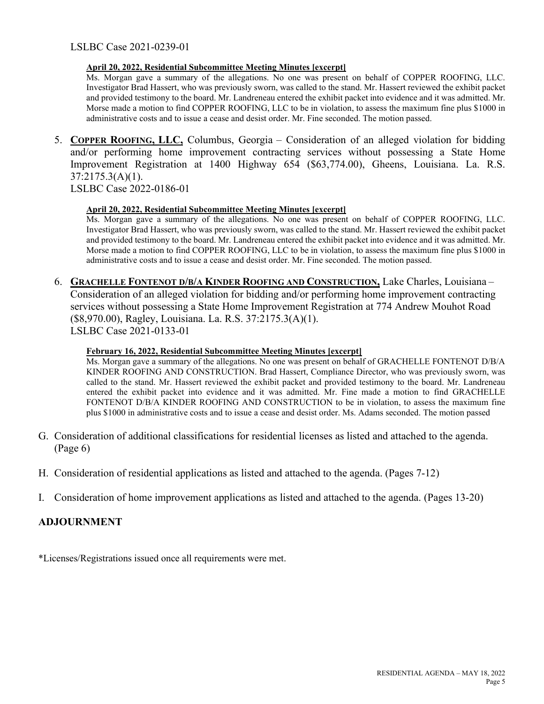#### **April 20, 2022, Residential Subcommittee Meeting Minutes [excerpt]**

Ms. Morgan gave a summary of the allegations. No one was present on behalf of COPPER ROOFING, LLC. Investigator Brad Hassert, who was previously sworn, was called to the stand. Mr. Hassert reviewed the exhibit packet and provided testimony to the board. Mr. Landreneau entered the exhibit packet into evidence and it was admitted. Mr. Morse made a motion to find COPPER ROOFING, LLC to be in violation, to assess the maximum fine plus \$1000 in administrative costs and to issue a cease and desist order. Mr. Fine seconded. The motion passed.

5. **COPPER ROOFING, LLC,** Columbus, Georgia – Consideration of an alleged violation for bidding and/or performing home improvement contracting services without possessing a State Home Improvement Registration at 1400 Highway 654 (\$63,774.00), Gheens, Louisiana. La. R.S. 37:2175.3(A)(1).

LSLBC Case 2022-0186-01

#### **April 20, 2022, Residential Subcommittee Meeting Minutes [excerpt]**

Ms. Morgan gave a summary of the allegations. No one was present on behalf of COPPER ROOFING, LLC. Investigator Brad Hassert, who was previously sworn, was called to the stand. Mr. Hassert reviewed the exhibit packet and provided testimony to the board. Mr. Landreneau entered the exhibit packet into evidence and it was admitted. Mr. Morse made a motion to find COPPER ROOFING, LLC to be in violation, to assess the maximum fine plus \$1000 in administrative costs and to issue a cease and desist order. Mr. Fine seconded. The motion passed.

6. **GRACHELLE FONTENOT D/B/A KINDER ROOFING AND CONSTRUCTION,** Lake Charles, Louisiana – Consideration of an alleged violation for bidding and/or performing home improvement contracting services without possessing a State Home Improvement Registration at 774 Andrew Mouhot Road (\$8,970.00), Ragley, Louisiana. La. R.S. 37:2175.3(A)(1). LSLBC Case 2021-0133-01

#### **February 16, 2022, Residential Subcommittee Meeting Minutes [excerpt]**

Ms. Morgan gave a summary of the allegations. No one was present on behalf of GRACHELLE FONTENOT D/B/A KINDER ROOFING AND CONSTRUCTION. Brad Hassert, Compliance Director, who was previously sworn, was called to the stand. Mr. Hassert reviewed the exhibit packet and provided testimony to the board. Mr. Landreneau entered the exhibit packet into evidence and it was admitted. Mr. Fine made a motion to find GRACHELLE FONTENOT D/B/A KINDER ROOFING AND CONSTRUCTION to be in violation, to assess the maximum fine plus \$1000 in administrative costs and to issue a cease and desist order. Ms. Adams seconded. The motion passed

- G. Consideration of additional classifications for residential licenses as listed and attached to the agenda. (Page 6)
- H. Consideration of residential applications as listed and attached to the agenda. (Pages 7-12)
- I. Consideration of home improvement applications as listed and attached to the agenda. (Pages 13-20)

# **ADJOURNMENT**

\*Licenses/Registrations issued once all requirements were met.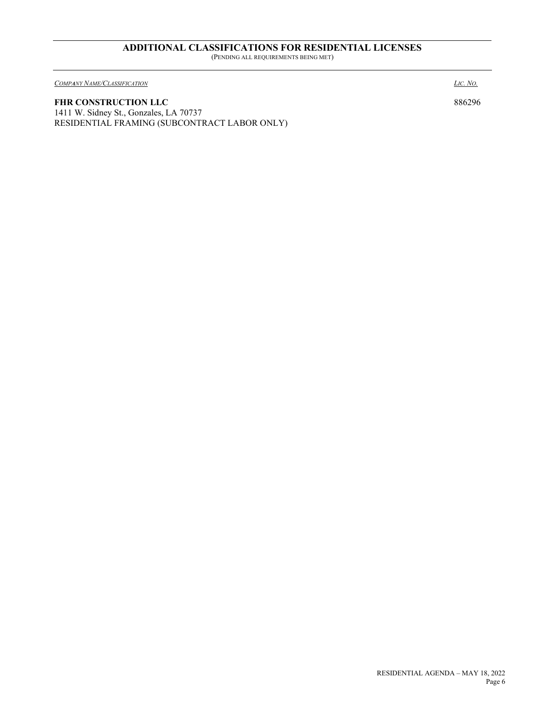#### **ADDITIONAL CLASSIFICATIONS FOR RESIDENTIAL LICENSES** (PENDING ALL REQUIREMENTS BEING MET)

*COMPANY NAME/CLASSIFICATION LIC. NO.*

FHR CONSTRUCTION LLC 886296 1411 W. Sidney St., Gonzales, LA 70737 RESIDENTIAL FRAMING (SUBCONTRACT LABOR ONLY)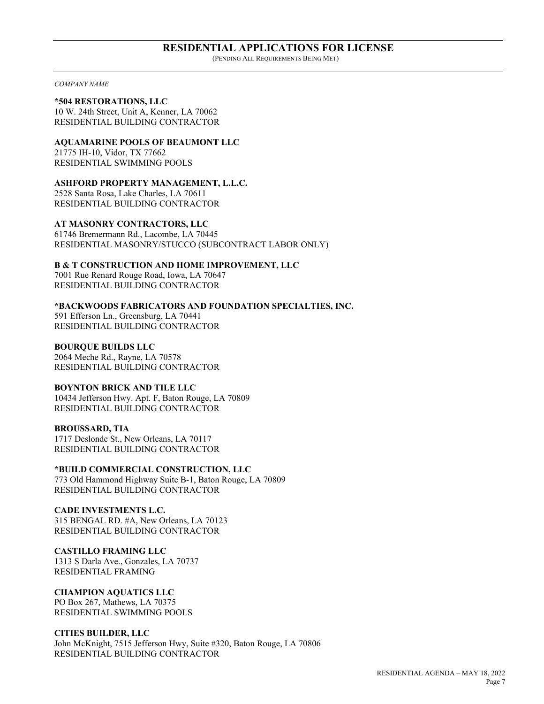#### **RESIDENTIAL APPLICATIONS FOR LICENSE** (PENDING ALL REQUIREMENTS BEING MET)

*COMPANY NAME*

**\*504 RESTORATIONS, LLC** 10 W. 24th Street, Unit A, Kenner, LA 70062 RESIDENTIAL BUILDING CONTRACTOR

**AQUAMARINE POOLS OF BEAUMONT LLC** 21775 IH-10, Vidor, TX 77662 RESIDENTIAL SWIMMING POOLS

**ASHFORD PROPERTY MANAGEMENT, L.L.C.** 2528 Santa Rosa, Lake Charles, LA 70611

RESIDENTIAL BUILDING CONTRACTOR

**AT MASONRY CONTRACTORS, LLC** 61746 Bremermann Rd., Lacombe, LA 70445 RESIDENTIAL MASONRY/STUCCO (SUBCONTRACT LABOR ONLY)

**B & T CONSTRUCTION AND HOME IMPROVEMENT, LLC** 7001 Rue Renard Rouge Road, Iowa, LA 70647 RESIDENTIAL BUILDING CONTRACTOR

**\*BACKWOODS FABRICATORS AND FOUNDATION SPECIALTIES, INC.** 591 Efferson Ln., Greensburg, LA 70441 RESIDENTIAL BUILDING CONTRACTOR

**BOURQUE BUILDS LLC** 2064 Meche Rd., Rayne, LA 70578 RESIDENTIAL BUILDING CONTRACTOR

**BOYNTON BRICK AND TILE LLC** 10434 Jefferson Hwy. Apt. F, Baton Rouge, LA 70809 RESIDENTIAL BUILDING CONTRACTOR

**BROUSSARD, TIA** 1717 Deslonde St., New Orleans, LA 70117 RESIDENTIAL BUILDING CONTRACTOR

**\*BUILD COMMERCIAL CONSTRUCTION, LLC** 773 Old Hammond Highway Suite B-1, Baton Rouge, LA 70809 RESIDENTIAL BUILDING CONTRACTOR

**CADE INVESTMENTS L.C.** 315 BENGAL RD. #A, New Orleans, LA 70123 RESIDENTIAL BUILDING CONTRACTOR

**CASTILLO FRAMING LLC** 1313 S Darla Ave., Gonzales, LA 70737 RESIDENTIAL FRAMING

**CHAMPION AQUATICS LLC** PO Box 267, Mathews, LA 70375 RESIDENTIAL SWIMMING POOLS

**CITIES BUILDER, LLC** John McKnight, 7515 Jefferson Hwy, Suite #320, Baton Rouge, LA 70806 RESIDENTIAL BUILDING CONTRACTOR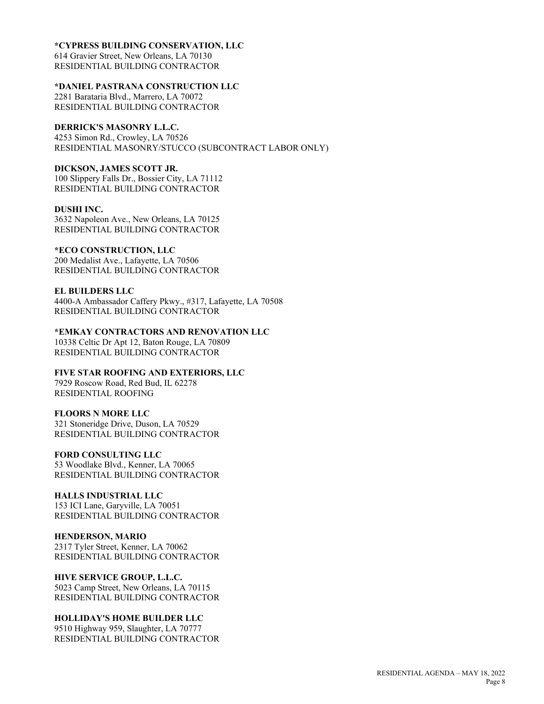#### **\*CYPRESS BUILDING CONSERVATION, LLC**

614 Gravier Street, New Orleans, LA 70130 RESIDENTIAL BUILDING CONTRACTOR

#### **\*DANIEL PASTRANA CONSTRUCTION LLC**

2281 Barataria Blvd., Marrero, LA 70072 RESIDENTIAL BUILDING CONTRACTOR

#### **DERRICK'S MASONRY L.L.C.**

4253 Simon Rd., Crowley, LA 70526 RESIDENTIAL MASONRY/STUCCO (SUBCONTRACT LABOR ONLY)

#### **DICKSON, JAMES SCOTT JR.**

100 Slippery Falls Dr., Bossier City, LA 71112 RESIDENTIAL BUILDING CONTRACTOR

#### **DUSHI INC.**

3632 Napoleon Ave., New Orleans, LA 70125 RESIDENTIAL BUILDING CONTRACTOR

#### **\*ECO CONSTRUCTION, LLC**

200 Medalist Ave., Lafayette, LA 70506 RESIDENTIAL BUILDING CONTRACTOR

#### **EL BUILDERS LLC**

4400-A Ambassador Caffery Pkwy., #317, Lafayette, LA 70508 RESIDENTIAL BUILDING CONTRACTOR

# **\*EMKAY CONTRACTORS AND RENOVATION LLC**

10338 Celtic Dr Apt 12, Baton Rouge, LA 70809 RESIDENTIAL BUILDING CONTRACTOR

### **FIVE STAR ROOFING AND EXTERIORS, LLC**

7929 Roscow Road, Red Bud, IL 62278 RESIDENTIAL ROOFING

#### **FLOORS N MORE LLC**

321 Stoneridge Drive, Duson, LA 70529 RESIDENTIAL BUILDING CONTRACTOR

# **FORD CONSULTING LLC**

53 Woodlake Blvd., Kenner, LA 70065 RESIDENTIAL BUILDING CONTRACTOR

### **HALLS INDUSTRIAL LLC**

153 ICI Lane, Garyville, LA 70051 RESIDENTIAL BUILDING CONTRACTOR

#### **HENDERSON, MARIO**

2317 Tyler Street, Kenner, LA 70062 RESIDENTIAL BUILDING CONTRACTOR

### **HIVE SERVICE GROUP, L.L.C.**

5023 Camp Street, New Orleans, LA 70115 RESIDENTIAL BUILDING CONTRACTOR

### **HOLLIDAY'S HOME BUILDER LLC**

9510 Highway 959, Slaughter, LA 70777 RESIDENTIAL BUILDING CONTRACTOR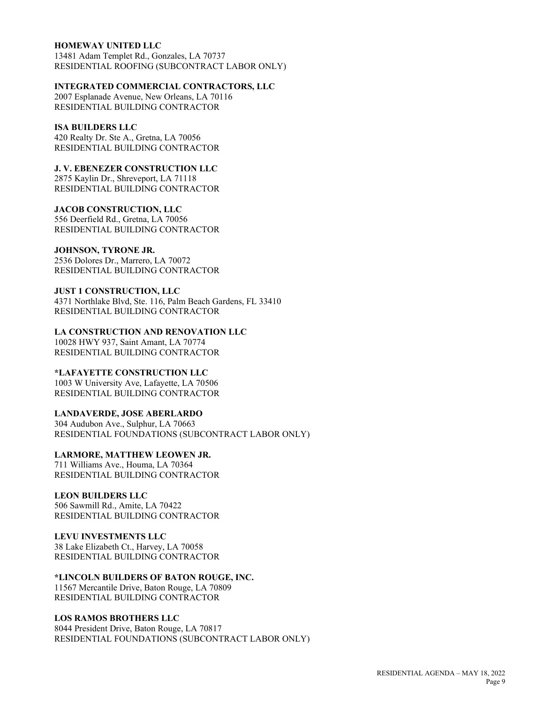#### **HOMEWAY UNITED LLC**

13481 Adam Templet Rd., Gonzales, LA 70737 RESIDENTIAL ROOFING (SUBCONTRACT LABOR ONLY)

#### **INTEGRATED COMMERCIAL CONTRACTORS, LLC**

2007 Esplanade Avenue, New Orleans, LA 70116 RESIDENTIAL BUILDING CONTRACTOR

#### **ISA BUILDERS LLC**

420 Realty Dr. Ste A., Gretna, LA 70056 RESIDENTIAL BUILDING CONTRACTOR

# **J. V. EBENEZER CONSTRUCTION LLC**

2875 Kaylin Dr., Shreveport, LA 71118 RESIDENTIAL BUILDING CONTRACTOR

#### **JACOB CONSTRUCTION, LLC**

556 Deerfield Rd., Gretna, LA 70056 RESIDENTIAL BUILDING CONTRACTOR

#### **JOHNSON, TYRONE JR.**

2536 Dolores Dr., Marrero, LA 70072 RESIDENTIAL BUILDING CONTRACTOR

#### **JUST 1 CONSTRUCTION, LLC**

4371 Northlake Blvd, Ste. 116, Palm Beach Gardens, FL 33410 RESIDENTIAL BUILDING CONTRACTOR

#### **LA CONSTRUCTION AND RENOVATION LLC** 10028 HWY 937, Saint Amant, LA 70774 RESIDENTIAL BUILDING CONTRACTOR

#### **\*LAFAYETTE CONSTRUCTION LLC**

1003 W University Ave, Lafayette, LA 70506 RESIDENTIAL BUILDING CONTRACTOR

#### **LANDAVERDE, JOSE ABERLARDO**

304 Audubon Ave., Sulphur, LA 70663 RESIDENTIAL FOUNDATIONS (SUBCONTRACT LABOR ONLY)

#### **LARMORE, MATTHEW LEOWEN JR.**

711 Williams Ave., Houma, LA 70364 RESIDENTIAL BUILDING CONTRACTOR

#### **LEON BUILDERS LLC**

506 Sawmill Rd., Amite, LA 70422 RESIDENTIAL BUILDING CONTRACTOR

#### **LEVU INVESTMENTS LLC**

38 Lake Elizabeth Ct., Harvey, LA 70058 RESIDENTIAL BUILDING CONTRACTOR

#### **\*LINCOLN BUILDERS OF BATON ROUGE, INC.**

11567 Mercantile Drive, Baton Rouge, LA 70809 RESIDENTIAL BUILDING CONTRACTOR

#### **LOS RAMOS BROTHERS LLC**

8044 President Drive, Baton Rouge, LA 70817 RESIDENTIAL FOUNDATIONS (SUBCONTRACT LABOR ONLY)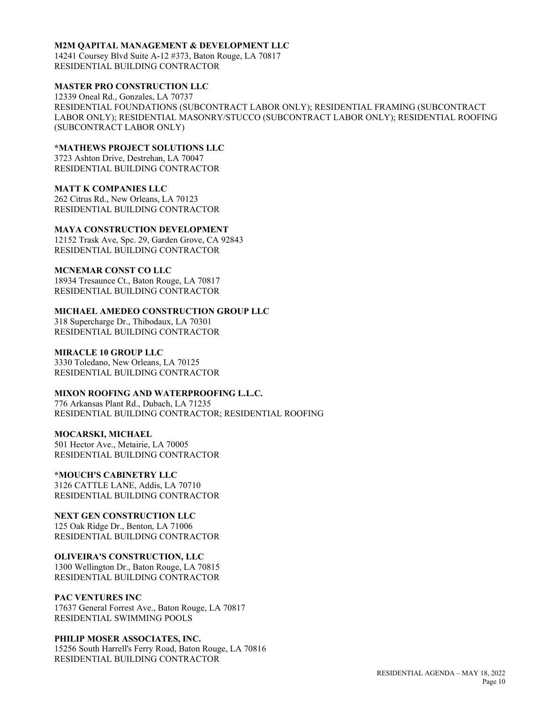#### **M2M QAPITAL MANAGEMENT & DEVELOPMENT LLC**

14241 Coursey Blvd Suite A-12 #373, Baton Rouge, LA 70817 RESIDENTIAL BUILDING CONTRACTOR

#### **MASTER PRO CONSTRUCTION LLC**

12339 Oneal Rd., Gonzales, LA 70737 RESIDENTIAL FOUNDATIONS (SUBCONTRACT LABOR ONLY); RESIDENTIAL FRAMING (SUBCONTRACT LABOR ONLY); RESIDENTIAL MASONRY/STUCCO (SUBCONTRACT LABOR ONLY); RESIDENTIAL ROOFING (SUBCONTRACT LABOR ONLY)

#### **\*MATHEWS PROJECT SOLUTIONS LLC**

3723 Ashton Drive, Destrehan, LA 70047 RESIDENTIAL BUILDING CONTRACTOR

#### **MATT K COMPANIES LLC**

262 Citrus Rd., New Orleans, LA 70123 RESIDENTIAL BUILDING CONTRACTOR

#### **MAYA CONSTRUCTION DEVELOPMENT**

12152 Trask Ave, Spc. 29, Garden Grove, CA 92843 RESIDENTIAL BUILDING CONTRACTOR

#### **MCNEMAR CONST CO LLC**

18934 Tresaunce Ct., Baton Rouge, LA 70817 RESIDENTIAL BUILDING CONTRACTOR

#### **MICHAEL AMEDEO CONSTRUCTION GROUP LLC**

318 Supercharge Dr., Thibodaux, LA 70301 RESIDENTIAL BUILDING CONTRACTOR

#### **MIRACLE 10 GROUP LLC**

3330 Toledano, New Orleans, LA 70125 RESIDENTIAL BUILDING CONTRACTOR

#### **MIXON ROOFING AND WATERPROOFING L.L.C.**

776 Arkansas Plant Rd., Dubach, LA 71235 RESIDENTIAL BUILDING CONTRACTOR; RESIDENTIAL ROOFING

#### **MOCARSKI, MICHAEL**

501 Hector Ave., Metairie, LA 70005 RESIDENTIAL BUILDING CONTRACTOR

### **\*MOUCH'S CABINETRY LLC**

3126 CATTLE LANE, Addis, LA 70710 RESIDENTIAL BUILDING CONTRACTOR

### **NEXT GEN CONSTRUCTION LLC**

125 Oak Ridge Dr., Benton, LA 71006 RESIDENTIAL BUILDING CONTRACTOR

#### **OLIVEIRA'S CONSTRUCTION, LLC**

1300 Wellington Dr., Baton Rouge, LA 70815 RESIDENTIAL BUILDING CONTRACTOR

#### **PAC VENTURES INC**

17637 General Forrest Ave., Baton Rouge, LA 70817 RESIDENTIAL SWIMMING POOLS

#### **PHILIP MOSER ASSOCIATES, INC.**

15256 South Harrell's Ferry Road, Baton Rouge, LA 70816 RESIDENTIAL BUILDING CONTRACTOR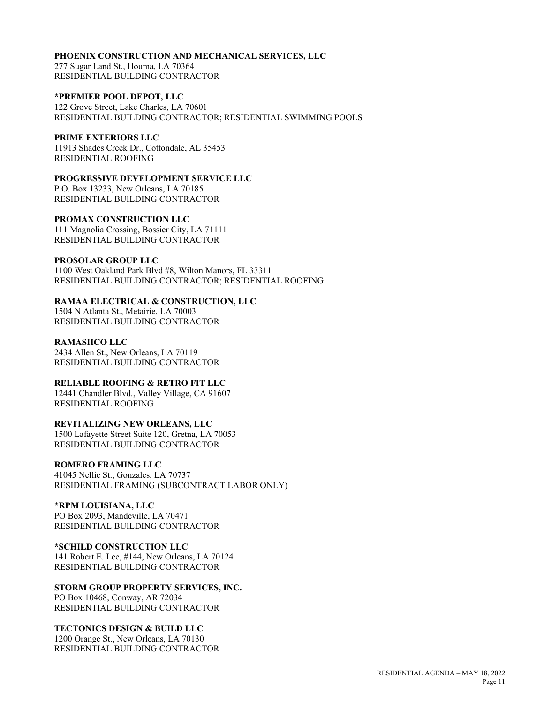#### **PHOENIX CONSTRUCTION AND MECHANICAL SERVICES, LLC**

277 Sugar Land St., Houma, LA 70364 RESIDENTIAL BUILDING CONTRACTOR

#### **\*PREMIER POOL DEPOT, LLC**

122 Grove Street, Lake Charles, LA 70601 RESIDENTIAL BUILDING CONTRACTOR; RESIDENTIAL SWIMMING POOLS

#### **PRIME EXTERIORS LLC**

11913 Shades Creek Dr., Cottondale, AL 35453 RESIDENTIAL ROOFING

# **PROGRESSIVE DEVELOPMENT SERVICE LLC**

P.O. Box 13233, New Orleans, LA 70185 RESIDENTIAL BUILDING CONTRACTOR

#### **PROMAX CONSTRUCTION LLC**

111 Magnolia Crossing, Bossier City, LA 71111 RESIDENTIAL BUILDING CONTRACTOR

### **PROSOLAR GROUP LLC**

1100 West Oakland Park Blvd #8, Wilton Manors, FL 33311 RESIDENTIAL BUILDING CONTRACTOR; RESIDENTIAL ROOFING

### **RAMAA ELECTRICAL & CONSTRUCTION, LLC**

1504 N Atlanta St., Metairie, LA 70003 RESIDENTIAL BUILDING CONTRACTOR

#### **RAMASHCO LLC**

2434 Allen St., New Orleans, LA 70119 RESIDENTIAL BUILDING CONTRACTOR

### **RELIABLE ROOFING & RETRO FIT LLC**

12441 Chandler Blvd., Valley Village, CA 91607 RESIDENTIAL ROOFING

### **REVITALIZING NEW ORLEANS, LLC**

1500 Lafayette Street Suite 120, Gretna, LA 70053 RESIDENTIAL BUILDING CONTRACTOR

### **ROMERO FRAMING LLC**

41045 Nellie St., Gonzales, LA 70737 RESIDENTIAL FRAMING (SUBCONTRACT LABOR ONLY)

### **\*RPM LOUISIANA, LLC**

PO Box 2093, Mandeville, LA 70471 RESIDENTIAL BUILDING CONTRACTOR

### **\*SCHILD CONSTRUCTION LLC**

141 Robert E. Lee, #144, New Orleans, LA 70124 RESIDENTIAL BUILDING CONTRACTOR

#### **STORM GROUP PROPERTY SERVICES, INC.** PO Box 10468, Conway, AR 72034 RESIDENTIAL BUILDING CONTRACTOR

### **TECTONICS DESIGN & BUILD LLC**

1200 Orange St., New Orleans, LA 70130 RESIDENTIAL BUILDING CONTRACTOR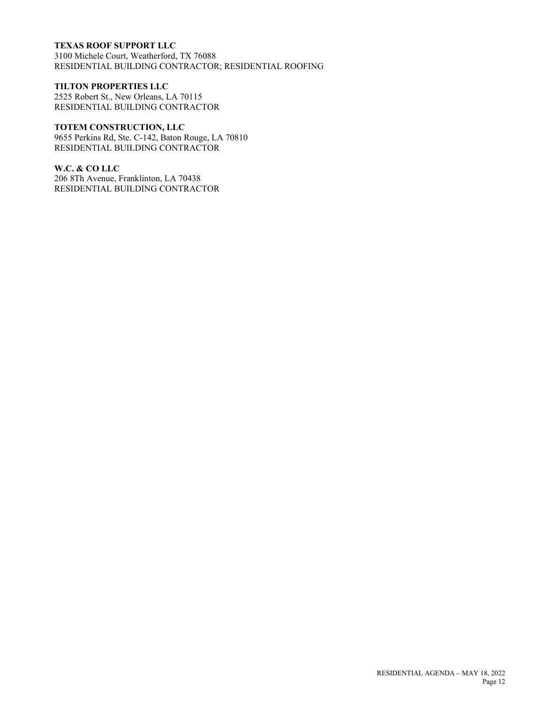### **TEXAS ROOF SUPPORT LLC**

3100 Michele Court, Weatherford, TX 76088 RESIDENTIAL BUILDING CONTRACTOR; RESIDENTIAL ROOFING

#### **TILTON PROPERTIES LLC**

2525 Robert St., New Orleans, LA 70115 RESIDENTIAL BUILDING CONTRACTOR

# **TOTEM CONSTRUCTION, LLC**

9655 Perkins Rd, Ste. C-142, Baton Rouge, LA 70810 RESIDENTIAL BUILDING CONTRACTOR

#### **W.C. & CO LLC**

206 8Th Avenue, Franklinton, LA 70438 RESIDENTIAL BUILDING CONTRACTOR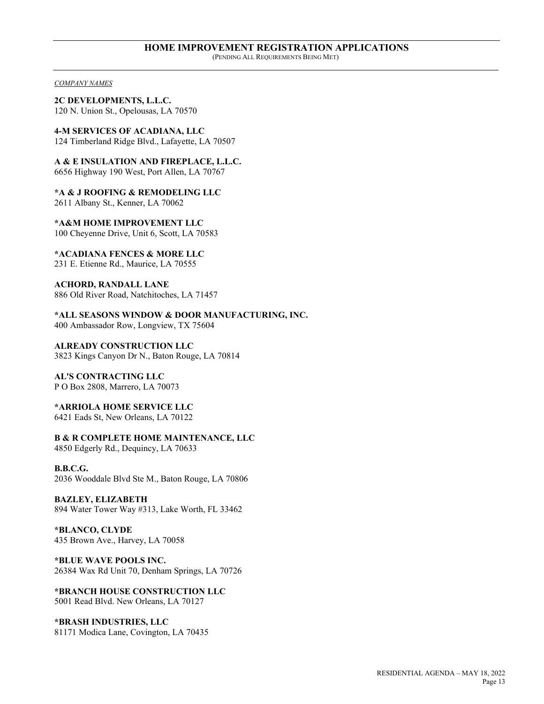#### *COMPANY NAMES*

**2C DEVELOPMENTS, L.L.C.** 120 N. Union St., Opelousas, LA 70570

**4-M SERVICES OF ACADIANA, LLC** 124 Timberland Ridge Blvd., Lafayette, LA 70507

**A & E INSULATION AND FIREPLACE, L.L.C.**

6656 Highway 190 West, Port Allen, LA 70767

**\*A & J ROOFING & REMODELING LLC** 2611 Albany St., Kenner, LA 70062

**\*A&M HOME IMPROVEMENT LLC** 100 Cheyenne Drive, Unit 6, Scott, LA 70583

**\*ACADIANA FENCES & MORE LLC** 231 E. Etienne Rd., Maurice, LA 70555

**ACHORD, RANDALL LANE** 886 Old River Road, Natchitoches, LA 71457

**\*ALL SEASONS WINDOW & DOOR MANUFACTURING, INC.** 400 Ambassador Row, Longview, TX 75604

**ALREADY CONSTRUCTION LLC** 3823 Kings Canyon Dr N., Baton Rouge, LA 70814

**AL'S CONTRACTING LLC** P O Box 2808, Marrero, LA 70073

**\*ARRIOLA HOME SERVICE LLC** 6421 Eads St, New Orleans, LA 70122

**B & R COMPLETE HOME MAINTENANCE, LLC** 4850 Edgerly Rd., Dequincy, LA 70633

**B.B.C.G.** 2036 Wooddale Blvd Ste M., Baton Rouge, LA 70806

**BAZLEY, ELIZABETH** 894 Water Tower Way #313, Lake Worth, FL 33462

**\*BLANCO, CLYDE** 435 Brown Ave., Harvey, LA 70058

**\*BLUE WAVE POOLS INC.** 26384 Wax Rd Unit 70, Denham Springs, LA 70726

**\*BRANCH HOUSE CONSTRUCTION LLC** 5001 Read Blvd. New Orleans, LA 70127

**\*BRASH INDUSTRIES, LLC** 81171 Modica Lane, Covington, LA 70435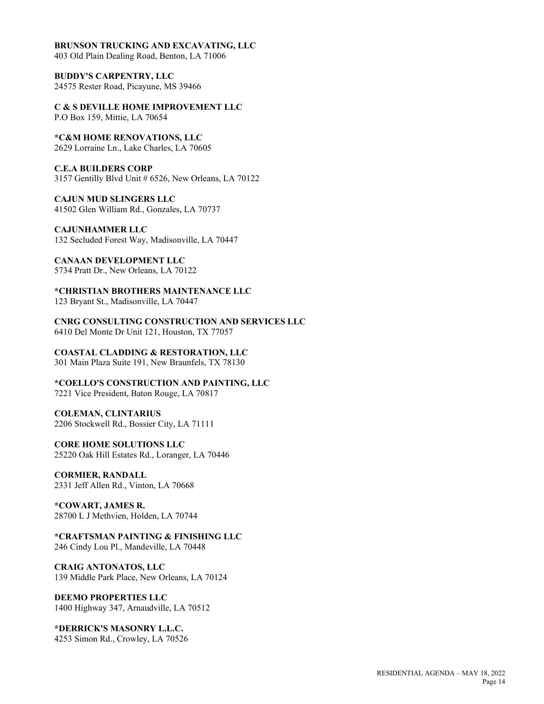#### **BRUNSON TRUCKING AND EXCAVATING, LLC**

403 Old Plain Dealing Road, Benton, LA 71006

**BUDDY'S CARPENTRY, LLC** 24575 Rester Road, Picayune, MS 39466

**C & S DEVILLE HOME IMPROVEMENT LLC** P.O Box 159, Mittie, LA 70654

**\*C&M HOME RENOVATIONS, LLC** 2629 Lorraine Ln., Lake Charles, LA 70605

#### **C.E.A BUILDERS CORP**

3157 Gentilly Blvd Unit # 6526, New Orleans, LA 70122

**CAJUN MUD SLINGERS LLC** 41502 Glen William Rd., Gonzales, LA 70737

**CAJUNHAMMER LLC** 132 Secluded Forest Way, Madisonville, LA 70447

**CANAAN DEVELOPMENT LLC** 5734 Pratt Dr., New Orleans, LA 70122

**\*CHRISTIAN BROTHERS MAINTENANCE LLC** 123 Bryant St., Madisonville, LA 70447

**CNRG CONSULTING CONSTRUCTION AND SERVICES LLC** 6410 Del Monte Dr Unit 121, Houston, TX 77057

**COASTAL CLADDING & RESTORATION, LLC** 301 Main Plaza Suite 191, New Braunfels, TX 78130

**\*COELLO'S CONSTRUCTION AND PAINTING, LLC** 7221 Vice President, Baton Rouge, LA 70817

**COLEMAN, CLINTARIUS** 2206 Stockwell Rd., Bossier City, LA 71111

**CORE HOME SOLUTIONS LLC** 25220 Oak Hill Estates Rd., Loranger, LA 70446

**CORMIER, RANDALL** 2331 Jeff Allen Rd., Vinton, LA 70668

**\*COWART, JAMES R.** 28700 L J Methvien, Holden, LA 70744

**\*CRAFTSMAN PAINTING & FINISHING LLC** 246 Cindy Lou Pl., Mandeville, LA 70448

**CRAIG ANTONATOS, LLC** 139 Middle Park Place, New Orleans, LA 70124

**DEEMO PROPERTIES LLC** 1400 Highway 347, Arnaudville, LA 70512

**\*DERRICK'S MASONRY L.L.C.** 4253 Simon Rd., Crowley, LA 70526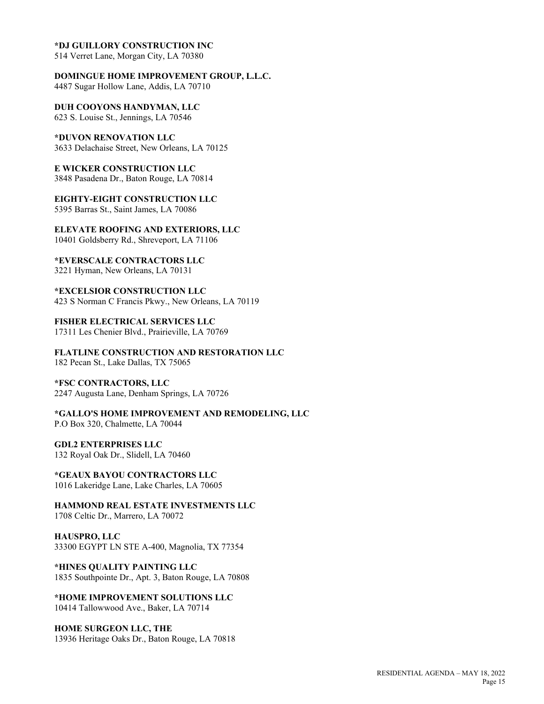#### **\*DJ GUILLORY CONSTRUCTION INC**

514 Verret Lane, Morgan City, LA 70380

**DOMINGUE HOME IMPROVEMENT GROUP, L.L.C.** 4487 Sugar Hollow Lane, Addis, LA 70710

**DUH COOYONS HANDYMAN, LLC** 623 S. Louise St., Jennings, LA 70546

**\*DUVON RENOVATION LLC** 3633 Delachaise Street, New Orleans, LA 70125

**E WICKER CONSTRUCTION LLC** 3848 Pasadena Dr., Baton Rouge, LA 70814

**EIGHTY-EIGHT CONSTRUCTION LLC** 5395 Barras St., Saint James, LA 70086

**ELEVATE ROOFING AND EXTERIORS, LLC** 10401 Goldsberry Rd., Shreveport, LA 71106

**\*EVERSCALE CONTRACTORS LLC** 3221 Hyman, New Orleans, LA 70131

**\*EXCELSIOR CONSTRUCTION LLC** 423 S Norman C Francis Pkwy., New Orleans, LA 70119

**FISHER ELECTRICAL SERVICES LLC** 17311 Les Chenier Blvd., Prairieville, LA 70769

**FLATLINE CONSTRUCTION AND RESTORATION LLC** 182 Pecan St., Lake Dallas, TX 75065

**\*FSC CONTRACTORS, LLC** 2247 Augusta Lane, Denham Springs, LA 70726

**\*GALLO'S HOME IMPROVEMENT AND REMODELING, LLC** P.O Box 320, Chalmette, LA 70044

**GDL2 ENTERPRISES LLC**

132 Royal Oak Dr., Slidell, LA 70460

**\*GEAUX BAYOU CONTRACTORS LLC** 1016 Lakeridge Lane, Lake Charles, LA 70605

**HAMMOND REAL ESTATE INVESTMENTS LLC** 1708 Celtic Dr., Marrero, LA 70072

**HAUSPRO, LLC** 33300 EGYPT LN STE A-400, Magnolia, TX 77354

**\*HINES QUALITY PAINTING LLC** 1835 Southpointe Dr., Apt. 3, Baton Rouge, LA 70808

**\*HOME IMPROVEMENT SOLUTIONS LLC** 10414 Tallowwood Ave., Baker, LA 70714

**HOME SURGEON LLC, THE** 13936 Heritage Oaks Dr., Baton Rouge, LA 70818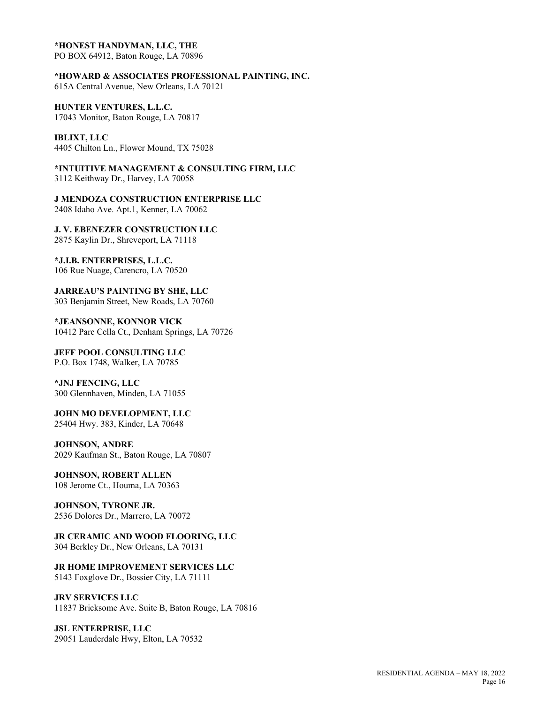#### **\*HONEST HANDYMAN, LLC, THE**

PO BOX 64912, Baton Rouge, LA 70896

**\*HOWARD & ASSOCIATES PROFESSIONAL PAINTING, INC.** 615A Central Avenue, New Orleans, LA 70121

**HUNTER VENTURES, L.L.C.** 17043 Monitor, Baton Rouge, LA 70817

**IBLIXT, LLC** 4405 Chilton Ln., Flower Mound, TX 75028

**\*INTUITIVE MANAGEMENT & CONSULTING FIRM, LLC** 3112 Keithway Dr., Harvey, LA 70058

**J MENDOZA CONSTRUCTION ENTERPRISE LLC** 2408 Idaho Ave. Apt.1, Kenner, LA 70062

**J. V. EBENEZER CONSTRUCTION LLC** 2875 Kaylin Dr., Shreveport, LA 71118

**\*J.I.B. ENTERPRISES, L.L.C.** 106 Rue Nuage, Carencro, LA 70520

**JARREAU'S PAINTING BY SHE, LLC** 303 Benjamin Street, New Roads, LA 70760

**\*JEANSONNE, KONNOR VICK** 10412 Parc Cella Ct., Denham Springs, LA 70726

**JEFF POOL CONSULTING LLC** P.O. Box 1748, Walker, LA 70785

**\*JNJ FENCING, LLC** 300 Glennhaven, Minden, LA 71055

**JOHN MO DEVELOPMENT, LLC** 25404 Hwy. 383, Kinder, LA 70648

**JOHNSON, ANDRE** 2029 Kaufman St., Baton Rouge, LA 70807

**JOHNSON, ROBERT ALLEN** 108 Jerome Ct., Houma, LA 70363

**JOHNSON, TYRONE JR.** 2536 Dolores Dr., Marrero, LA 70072

# **JR CERAMIC AND WOOD FLOORING, LLC**

304 Berkley Dr., New Orleans, LA 70131

# **JR HOME IMPROVEMENT SERVICES LLC**

5143 Foxglove Dr., Bossier City, LA 71111

#### **JRV SERVICES LLC**

11837 Bricksome Ave. Suite B, Baton Rouge, LA 70816

**JSL ENTERPRISE, LLC** 29051 Lauderdale Hwy, Elton, LA 70532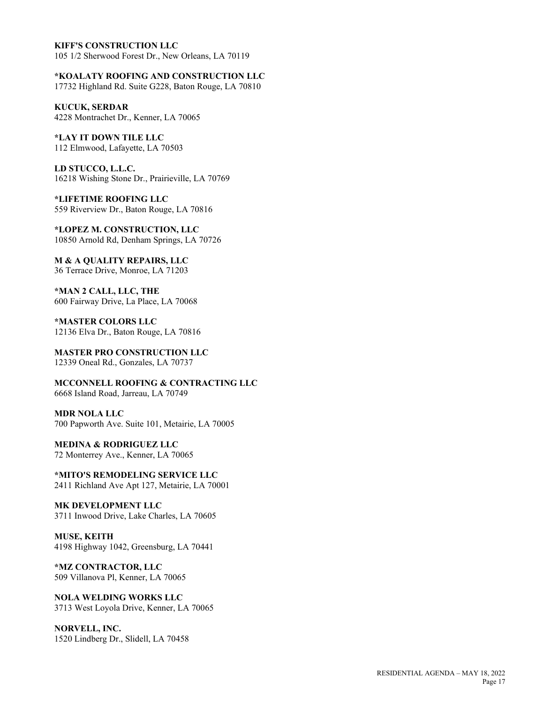#### **KIFF'S CONSTRUCTION LLC**

105 1/2 Sherwood Forest Dr., New Orleans, LA 70119

**\*KOALATY ROOFING AND CONSTRUCTION LLC**

17732 Highland Rd. Suite G228, Baton Rouge, LA 70810

**KUCUK, SERDAR** 4228 Montrachet Dr., Kenner, LA 70065

**\*LAY IT DOWN TILE LLC** 112 Elmwood, Lafayette, LA 70503

**LD STUCCO, L.L.C.** 16218 Wishing Stone Dr., Prairieville, LA 70769

**\*LIFETIME ROOFING LLC** 559 Riverview Dr., Baton Rouge, LA 70816

**\*LOPEZ M. CONSTRUCTION, LLC** 10850 Arnold Rd, Denham Springs, LA 70726

**M & A QUALITY REPAIRS, LLC** 36 Terrace Drive, Monroe, LA 71203

**\*MAN 2 CALL, LLC, THE** 600 Fairway Drive, La Place, LA 70068

**\*MASTER COLORS LLC** 12136 Elva Dr., Baton Rouge, LA 70816

**MASTER PRO CONSTRUCTION LLC** 12339 Oneal Rd., Gonzales, LA 70737

**MCCONNELL ROOFING & CONTRACTING LLC** 6668 Island Road, Jarreau, LA 70749

**MDR NOLA LLC** 700 Papworth Ave. Suite 101, Metairie, LA 70005

**MEDINA & RODRIGUEZ LLC** 72 Monterrey Ave., Kenner, LA 70065

**\*MITO'S REMODELING SERVICE LLC** 2411 Richland Ave Apt 127, Metairie, LA 70001

**MK DEVELOPMENT LLC** 3711 Inwood Drive, Lake Charles, LA 70605

**MUSE, KEITH** 4198 Highway 1042, Greensburg, LA 70441

**\*MZ CONTRACTOR, LLC** 509 Villanova Pl, Kenner, LA 70065

**NOLA WELDING WORKS LLC** 3713 West Loyola Drive, Kenner, LA 70065

**NORVELL, INC.** 1520 Lindberg Dr., Slidell, LA 70458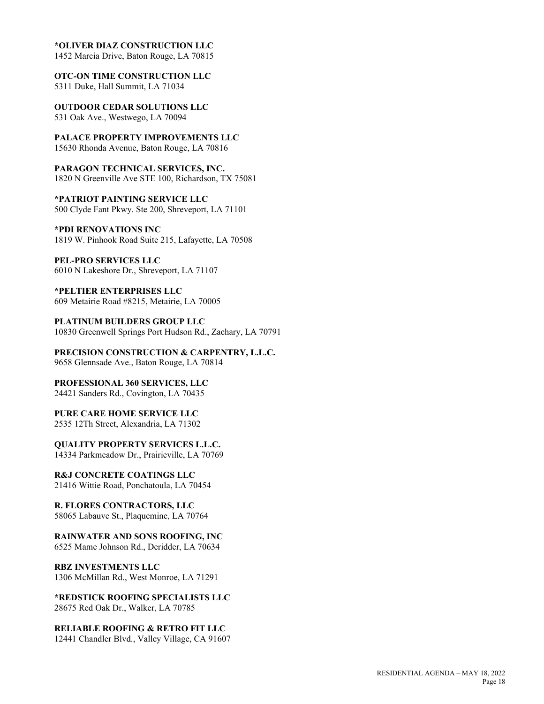#### **\*OLIVER DIAZ CONSTRUCTION LLC**

1452 Marcia Drive, Baton Rouge, LA 70815

**OTC-ON TIME CONSTRUCTION LLC**

5311 Duke, Hall Summit, LA 71034

**OUTDOOR CEDAR SOLUTIONS LLC** 531 Oak Ave., Westwego, LA 70094

**PALACE PROPERTY IMPROVEMENTS LLC**

15630 Rhonda Avenue, Baton Rouge, LA 70816

**PARAGON TECHNICAL SERVICES, INC.** 1820 N Greenville Ave STE 100, Richardson, TX 75081

**\*PATRIOT PAINTING SERVICE LLC** 500 Clyde Fant Pkwy. Ste 200, Shreveport, LA 71101

**\*PDI RENOVATIONS INC** 1819 W. Pinhook Road Suite 215, Lafayette, LA 70508

**PEL-PRO SERVICES LLC** 6010 N Lakeshore Dr., Shreveport, LA 71107

**\*PELTIER ENTERPRISES LLC** 609 Metairie Road #8215, Metairie, LA 70005

**PLATINUM BUILDERS GROUP LLC** 10830 Greenwell Springs Port Hudson Rd., Zachary, LA 70791

**PRECISION CONSTRUCTION & CARPENTRY, L.L.C.** 9658 Glennsade Ave., Baton Rouge, LA 70814

**PROFESSIONAL 360 SERVICES, LLC** 24421 Sanders Rd., Covington, LA 70435

**PURE CARE HOME SERVICE LLC** 2535 12Th Street, Alexandria, LA 71302

**QUALITY PROPERTY SERVICES L.L.C.** 14334 Parkmeadow Dr., Prairieville, LA 70769

**R&J CONCRETE COATINGS LLC** 21416 Wittie Road, Ponchatoula, LA 70454

**R. FLORES CONTRACTORS, LLC** 58065 Labauve St., Plaquemine, LA 70764

# **RAINWATER AND SONS ROOFING, INC**

6525 Mame Johnson Rd., Deridder, LA 70634

**RBZ INVESTMENTS LLC** 1306 McMillan Rd., West Monroe, LA 71291

**\*REDSTICK ROOFING SPECIALISTS LLC** 28675 Red Oak Dr., Walker, LA 70785

**RELIABLE ROOFING & RETRO FIT LLC** 12441 Chandler Blvd., Valley Village, CA 91607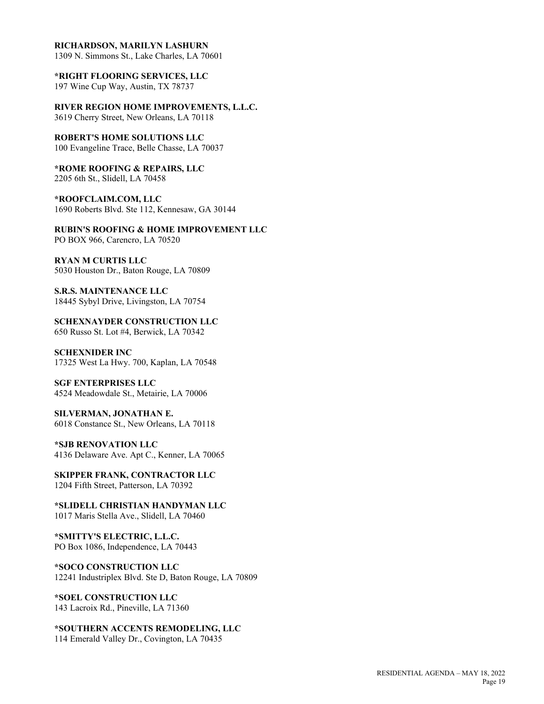#### **RICHARDSON, MARILYN LASHURN**

1309 N. Simmons St., Lake Charles, LA 70601

**\*RIGHT FLOORING SERVICES, LLC** 197 Wine Cup Way, Austin, TX 78737

**RIVER REGION HOME IMPROVEMENTS, L.L.C.** 3619 Cherry Street, New Orleans, LA 70118

**ROBERT'S HOME SOLUTIONS LLC** 100 Evangeline Trace, Belle Chasse, LA 70037

**\*ROME ROOFING & REPAIRS, LLC** 2205 6th St., Slidell, LA 70458

**\*ROOFCLAIM.COM, LLC** 1690 Roberts Blvd. Ste 112, Kennesaw, GA 30144

**RUBIN'S ROOFING & HOME IMPROVEMENT LLC** PO BOX 966, Carencro, LA 70520

**RYAN M CURTIS LLC** 5030 Houston Dr., Baton Rouge, LA 70809

**S.R.S. MAINTENANCE LLC** 18445 Sybyl Drive, Livingston, LA 70754

**SCHEXNAYDER CONSTRUCTION LLC** 650 Russo St. Lot #4, Berwick, LA 70342

**SCHEXNIDER INC** 17325 West La Hwy. 700, Kaplan, LA 70548

**SGF ENTERPRISES LLC** 4524 Meadowdale St., Metairie, LA 70006

**SILVERMAN, JONATHAN E.** 6018 Constance St., New Orleans, LA 70118

**\*SJB RENOVATION LLC** 4136 Delaware Ave. Apt C., Kenner, LA 70065

**SKIPPER FRANK, CONTRACTOR LLC** 1204 Fifth Street, Patterson, LA 70392

**\*SLIDELL CHRISTIAN HANDYMAN LLC** 1017 Maris Stella Ave., Slidell, LA 70460

**\*SMITTY'S ELECTRIC, L.L.C.** PO Box 1086, Independence, LA 70443

**\*SOCO CONSTRUCTION LLC** 12241 Industriplex Blvd. Ste D, Baton Rouge, LA 70809

**\*SOEL CONSTRUCTION LLC** 143 Lacroix Rd., Pineville, LA 71360

**\*SOUTHERN ACCENTS REMODELING, LLC** 114 Emerald Valley Dr., Covington, LA 70435